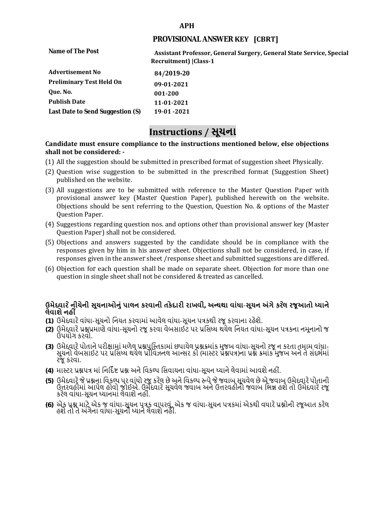#### **APH**

## **PROVISIONAL ANSWER KEY [CBRT]**

| Name of The Post                 | Assistant Professor, General Surgery, General State Service, Special<br>Recruitment)   Class-1 |
|----------------------------------|------------------------------------------------------------------------------------------------|
| <b>Advertisement No</b>          | 84/2019-20                                                                                     |
| <b>Preliminary Test Held On</b>  | 09-01-2021                                                                                     |
| Que. No.                         | 001-200                                                                                        |
| <b>Publish Date</b>              | 11-01-2021                                                                                     |
| Last Date to Send Suggestion (S) | 19-01 -2021                                                                                    |

# **Instructions / સૂચના**

### **shall not be considered: - Candidate must ensure compliance to the instructions mentioned below, else objections**

- (1) All the suggestion should be submitted in prescribed format of suggestion sheet Physically.
- (2) Question wise suggestion to be submitted in the prescribed format (Suggestion Sheet) published on the website.
- (3) All suggestions are to be submitted with reference to the Master Question Paper with provisional answer key (Master Question Paper), published herewith on the website. Objections should be sent referring to the Question, Question No. & options of the Master Question Paper.
- (4) Suggestions regarding question nos. and options other than provisional answer key (Master Question Paper) shall not be considered.
- (5) Objections and answers suggested by the candidate should be in compliance with the responses given by him in his answer sheet. Objections shall not be considered, in case, if responses given in the answer sheet /response sheet and submitted suggestions are differed.
- (6) Objection for each question shall be made on separate sheet. Objection for more than one question in single sheet shall not be considered & treated as cancelled.

# **ઉમેદવાર ેનીચેની સૂચનાઓનું પાલન કરવાની તકેદારી રાખવી, અլયથા વાંધા-સૂચન અંગેકર ેલ રજૂઆતો իયાને લેવાશેનહી ં**

- **(1)** ઉમેદવારેવાંધા**-**સૂચનો િનયત કરવામાં આવેલ વાંધા-સૂચન પԋકથી રજૂ કરવાના રહેશે**.**
- **(2)** ઉમેદવારેԐՇԐમાણે વાંધા**-**સૂચનો રજૂકરવા વેબસાઈટ પર Ԑિસիધ થયેલ િનયત વાંધા-સૂચન પԋકના નમૂનાનો જ ઉપયોગ કરવો**.**
- **(3)** ઉમેદવારેપોતાનેપરીԟામાંમળેલ ԐՇપુિչતકામાંછપાયેલ ԐՇԃમાંક મુજબ વાંધા**-**સૂચનો રજૂન કરતા તમામ વાંધા**-** સૂચનો વેબસાઈટ પર પ્રસિધ્ધ થયેલ પ્રોવિઝનલ આન્સર કી (માસ્ટર પ્રૅશ્નપત્ર)ના પ્રશ્ને ક્રમાંક મુજબ અને તે સંદર્ભમાં રજૂકરવા**.**
- **(4)** માչટર ԐՇપԋ માંિનિદӪ Ջ ԐՇ અનેિવકճપ િસવાયના વાંધા**-**સૂચન իયાનેલેવામાંઆવશેનહીં**.**
- (5) ઉમેદવારે જે પ્રશ્નના વિકલ્પ પર વાંધો રજૂ કરેલ છે અને વિકલ્પ ર<del>ુ</del>પે જે જવાબ સૂચવેલ છે એ જવાબ ઉમેદવારે પોતાની ઉԱરવહીમાંઆપેલ હોવો જોઈએ**.** ઉમેદવારેસૂચવેલ જવાબ અનેઉԱરવહીનો જવાબ િભՂ હશેતો ઉમેદવારેરજૂ કરેલ વાંધા**-**સૂચન իયાનમાંલેવાશેનહીં**.**
- **(6)** એક ԐՇ માટેએક જ વાંધા**-**સૂચન પԋક વાપરવું**.** એક જ વાંધા**-**સૂચન પԋકમાંએકથી વધારેԐՇોની રજૂઆત કરેલ હશેતો તેઅંગેના વાંધા**-**સૂચનો իયાનેલેવાશેનહીં**.**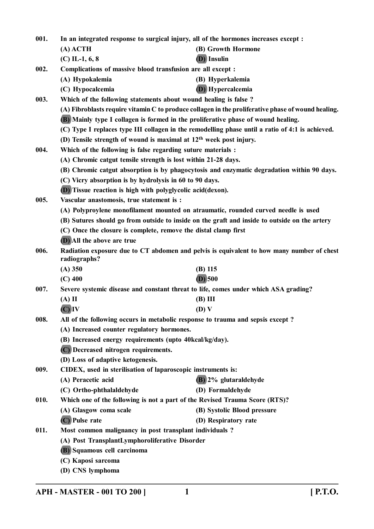| (B) Growth Hormone<br>$(A)$ ACTH<br>(D) Insulin<br>$(C)$ IL-1, 6, 8<br>002.<br>Complications of massive blood transfusion are all except :<br>(A) Hypokalemia<br>(B) Hyperkalemia<br>(D) Hypercalcemia<br>(C) Hypocalcemia<br>Which of the following statements about wound healing is false ?<br>003.<br>(A) Fibroblasts require vitamin C to produce collagen in the proliferative phase of wound healing.<br>(B) Mainly type I collagen is formed in the proliferative phase of wound healing.<br>(C) Type I replaces type III collagen in the remodelling phase until a ratio of 4:1 is achieved.<br>(D) Tensile strength of wound is maximal at $12th$ week post injury.<br>Which of the following is false regarding suture materials :<br>004.<br>(A) Chromic catgut tensile strength is lost within 21-28 days.<br>(B) Chromic catgut absorption is by phagocytosis and enzymatic degradation within 90 days.<br>(C) Vicry absorption is by hydrolysis in 60 to 90 days.<br>(D) Tissue reaction is high with polyglycolic acid(dexon).<br>005.<br>Vascular anastomosis, true statement is :<br>(A) Polyproylene monofilament mounted on atraumatic, rounded curved needle is used<br>(B) Sutures should go from outside to inside on the graft and inside to outside on the artery<br>(C) Once the closure is complete, remove the distal clamp first<br><b>(D)</b> All the above are true<br>006. |  |
|------------------------------------------------------------------------------------------------------------------------------------------------------------------------------------------------------------------------------------------------------------------------------------------------------------------------------------------------------------------------------------------------------------------------------------------------------------------------------------------------------------------------------------------------------------------------------------------------------------------------------------------------------------------------------------------------------------------------------------------------------------------------------------------------------------------------------------------------------------------------------------------------------------------------------------------------------------------------------------------------------------------------------------------------------------------------------------------------------------------------------------------------------------------------------------------------------------------------------------------------------------------------------------------------------------------------------------------------------------------------------------------------------------|--|
|                                                                                                                                                                                                                                                                                                                                                                                                                                                                                                                                                                                                                                                                                                                                                                                                                                                                                                                                                                                                                                                                                                                                                                                                                                                                                                                                                                                                            |  |
|                                                                                                                                                                                                                                                                                                                                                                                                                                                                                                                                                                                                                                                                                                                                                                                                                                                                                                                                                                                                                                                                                                                                                                                                                                                                                                                                                                                                            |  |
|                                                                                                                                                                                                                                                                                                                                                                                                                                                                                                                                                                                                                                                                                                                                                                                                                                                                                                                                                                                                                                                                                                                                                                                                                                                                                                                                                                                                            |  |
|                                                                                                                                                                                                                                                                                                                                                                                                                                                                                                                                                                                                                                                                                                                                                                                                                                                                                                                                                                                                                                                                                                                                                                                                                                                                                                                                                                                                            |  |
|                                                                                                                                                                                                                                                                                                                                                                                                                                                                                                                                                                                                                                                                                                                                                                                                                                                                                                                                                                                                                                                                                                                                                                                                                                                                                                                                                                                                            |  |
|                                                                                                                                                                                                                                                                                                                                                                                                                                                                                                                                                                                                                                                                                                                                                                                                                                                                                                                                                                                                                                                                                                                                                                                                                                                                                                                                                                                                            |  |
|                                                                                                                                                                                                                                                                                                                                                                                                                                                                                                                                                                                                                                                                                                                                                                                                                                                                                                                                                                                                                                                                                                                                                                                                                                                                                                                                                                                                            |  |
|                                                                                                                                                                                                                                                                                                                                                                                                                                                                                                                                                                                                                                                                                                                                                                                                                                                                                                                                                                                                                                                                                                                                                                                                                                                                                                                                                                                                            |  |
|                                                                                                                                                                                                                                                                                                                                                                                                                                                                                                                                                                                                                                                                                                                                                                                                                                                                                                                                                                                                                                                                                                                                                                                                                                                                                                                                                                                                            |  |
|                                                                                                                                                                                                                                                                                                                                                                                                                                                                                                                                                                                                                                                                                                                                                                                                                                                                                                                                                                                                                                                                                                                                                                                                                                                                                                                                                                                                            |  |
|                                                                                                                                                                                                                                                                                                                                                                                                                                                                                                                                                                                                                                                                                                                                                                                                                                                                                                                                                                                                                                                                                                                                                                                                                                                                                                                                                                                                            |  |
|                                                                                                                                                                                                                                                                                                                                                                                                                                                                                                                                                                                                                                                                                                                                                                                                                                                                                                                                                                                                                                                                                                                                                                                                                                                                                                                                                                                                            |  |
|                                                                                                                                                                                                                                                                                                                                                                                                                                                                                                                                                                                                                                                                                                                                                                                                                                                                                                                                                                                                                                                                                                                                                                                                                                                                                                                                                                                                            |  |
|                                                                                                                                                                                                                                                                                                                                                                                                                                                                                                                                                                                                                                                                                                                                                                                                                                                                                                                                                                                                                                                                                                                                                                                                                                                                                                                                                                                                            |  |
|                                                                                                                                                                                                                                                                                                                                                                                                                                                                                                                                                                                                                                                                                                                                                                                                                                                                                                                                                                                                                                                                                                                                                                                                                                                                                                                                                                                                            |  |
|                                                                                                                                                                                                                                                                                                                                                                                                                                                                                                                                                                                                                                                                                                                                                                                                                                                                                                                                                                                                                                                                                                                                                                                                                                                                                                                                                                                                            |  |
|                                                                                                                                                                                                                                                                                                                                                                                                                                                                                                                                                                                                                                                                                                                                                                                                                                                                                                                                                                                                                                                                                                                                                                                                                                                                                                                                                                                                            |  |
|                                                                                                                                                                                                                                                                                                                                                                                                                                                                                                                                                                                                                                                                                                                                                                                                                                                                                                                                                                                                                                                                                                                                                                                                                                                                                                                                                                                                            |  |
|                                                                                                                                                                                                                                                                                                                                                                                                                                                                                                                                                                                                                                                                                                                                                                                                                                                                                                                                                                                                                                                                                                                                                                                                                                                                                                                                                                                                            |  |
|                                                                                                                                                                                                                                                                                                                                                                                                                                                                                                                                                                                                                                                                                                                                                                                                                                                                                                                                                                                                                                                                                                                                                                                                                                                                                                                                                                                                            |  |
| Radiation exposure due to CT abdomen and pelvis is equivalent to how many number of chest                                                                                                                                                                                                                                                                                                                                                                                                                                                                                                                                                                                                                                                                                                                                                                                                                                                                                                                                                                                                                                                                                                                                                                                                                                                                                                                  |  |
| radiographs?                                                                                                                                                                                                                                                                                                                                                                                                                                                                                                                                                                                                                                                                                                                                                                                                                                                                                                                                                                                                                                                                                                                                                                                                                                                                                                                                                                                               |  |
| $(A)$ 350<br>$(B)$ 115                                                                                                                                                                                                                                                                                                                                                                                                                                                                                                                                                                                                                                                                                                                                                                                                                                                                                                                                                                                                                                                                                                                                                                                                                                                                                                                                                                                     |  |
| $(D)$ 500<br>$(C)$ 400                                                                                                                                                                                                                                                                                                                                                                                                                                                                                                                                                                                                                                                                                                                                                                                                                                                                                                                                                                                                                                                                                                                                                                                                                                                                                                                                                                                     |  |
| Severe systemic disease and constant threat to life, comes under which ASA grading?<br>007.                                                                                                                                                                                                                                                                                                                                                                                                                                                                                                                                                                                                                                                                                                                                                                                                                                                                                                                                                                                                                                                                                                                                                                                                                                                                                                                |  |
| $(A)$ II<br>$(B)$ III                                                                                                                                                                                                                                                                                                                                                                                                                                                                                                                                                                                                                                                                                                                                                                                                                                                                                                                                                                                                                                                                                                                                                                                                                                                                                                                                                                                      |  |
| $(C)$ IV<br>(D) V                                                                                                                                                                                                                                                                                                                                                                                                                                                                                                                                                                                                                                                                                                                                                                                                                                                                                                                                                                                                                                                                                                                                                                                                                                                                                                                                                                                          |  |
| 008.<br>All of the following occurs in metabolic response to trauma and sepsis except?<br>(A) Increased counter regulatory hormones.                                                                                                                                                                                                                                                                                                                                                                                                                                                                                                                                                                                                                                                                                                                                                                                                                                                                                                                                                                                                                                                                                                                                                                                                                                                                       |  |
| (B) Increased energy requirements (upto 40kcal/kg/day).                                                                                                                                                                                                                                                                                                                                                                                                                                                                                                                                                                                                                                                                                                                                                                                                                                                                                                                                                                                                                                                                                                                                                                                                                                                                                                                                                    |  |
| (C) Decreased nitrogen requirements.                                                                                                                                                                                                                                                                                                                                                                                                                                                                                                                                                                                                                                                                                                                                                                                                                                                                                                                                                                                                                                                                                                                                                                                                                                                                                                                                                                       |  |
| (D) Loss of adaptive ketogenesis.                                                                                                                                                                                                                                                                                                                                                                                                                                                                                                                                                                                                                                                                                                                                                                                                                                                                                                                                                                                                                                                                                                                                                                                                                                                                                                                                                                          |  |
| 009.<br>CIDEX, used in sterilisation of laparoscopic instruments is:                                                                                                                                                                                                                                                                                                                                                                                                                                                                                                                                                                                                                                                                                                                                                                                                                                                                                                                                                                                                                                                                                                                                                                                                                                                                                                                                       |  |
| (B) 2% glutaraldehyde<br>(A) Peracetic acid                                                                                                                                                                                                                                                                                                                                                                                                                                                                                                                                                                                                                                                                                                                                                                                                                                                                                                                                                                                                                                                                                                                                                                                                                                                                                                                                                                |  |
| (D) Formaldehyde<br>(C) Ortho-phthalaldehyde                                                                                                                                                                                                                                                                                                                                                                                                                                                                                                                                                                                                                                                                                                                                                                                                                                                                                                                                                                                                                                                                                                                                                                                                                                                                                                                                                               |  |
| Which one of the following is not a part of the Revised Trauma Score (RTS)?<br>010.                                                                                                                                                                                                                                                                                                                                                                                                                                                                                                                                                                                                                                                                                                                                                                                                                                                                                                                                                                                                                                                                                                                                                                                                                                                                                                                        |  |
| (A) Glasgow coma scale<br>(B) Systolic Blood pressure                                                                                                                                                                                                                                                                                                                                                                                                                                                                                                                                                                                                                                                                                                                                                                                                                                                                                                                                                                                                                                                                                                                                                                                                                                                                                                                                                      |  |
| (C) Pulse rate<br>(D) Respiratory rate                                                                                                                                                                                                                                                                                                                                                                                                                                                                                                                                                                                                                                                                                                                                                                                                                                                                                                                                                                                                                                                                                                                                                                                                                                                                                                                                                                     |  |
| 011.<br>Most common malignancy in post transplant individuals?                                                                                                                                                                                                                                                                                                                                                                                                                                                                                                                                                                                                                                                                                                                                                                                                                                                                                                                                                                                                                                                                                                                                                                                                                                                                                                                                             |  |
| (A) Post TransplantLymphoroliferative Disorder                                                                                                                                                                                                                                                                                                                                                                                                                                                                                                                                                                                                                                                                                                                                                                                                                                                                                                                                                                                                                                                                                                                                                                                                                                                                                                                                                             |  |
| (B) Squamous cell carcinoma                                                                                                                                                                                                                                                                                                                                                                                                                                                                                                                                                                                                                                                                                                                                                                                                                                                                                                                                                                                                                                                                                                                                                                                                                                                                                                                                                                                |  |
| (C) Kaposi sarcoma                                                                                                                                                                                                                                                                                                                                                                                                                                                                                                                                                                                                                                                                                                                                                                                                                                                                                                                                                                                                                                                                                                                                                                                                                                                                                                                                                                                         |  |
| (D) CNS lymphoma                                                                                                                                                                                                                                                                                                                                                                                                                                                                                                                                                                                                                                                                                                                                                                                                                                                                                                                                                                                                                                                                                                                                                                                                                                                                                                                                                                                           |  |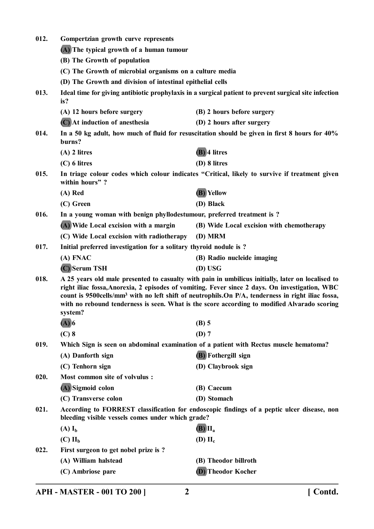| 012. | Gompertzian growth curve represents                                                                                                                                                                                                                                                                                                                                                                                              |                                                                                                       |  |
|------|----------------------------------------------------------------------------------------------------------------------------------------------------------------------------------------------------------------------------------------------------------------------------------------------------------------------------------------------------------------------------------------------------------------------------------|-------------------------------------------------------------------------------------------------------|--|
|      | (A) The typical growth of a human tumour                                                                                                                                                                                                                                                                                                                                                                                         |                                                                                                       |  |
|      | (B) The Growth of population                                                                                                                                                                                                                                                                                                                                                                                                     |                                                                                                       |  |
|      | (C) The Growth of microbial organisms on a culture media                                                                                                                                                                                                                                                                                                                                                                         |                                                                                                       |  |
|      | (D) The Growth and division of intestinal epithelial cells                                                                                                                                                                                                                                                                                                                                                                       |                                                                                                       |  |
| 013. | is?                                                                                                                                                                                                                                                                                                                                                                                                                              | Ideal time for giving antibiotic prophylaxis in a surgical patient to prevent surgical site infection |  |
|      | (A) 12 hours before surgery                                                                                                                                                                                                                                                                                                                                                                                                      | (B) 2 hours before surgery                                                                            |  |
|      | (C) At induction of anesthesia                                                                                                                                                                                                                                                                                                                                                                                                   | (D) 2 hours after surgery                                                                             |  |
| 014. | burns?                                                                                                                                                                                                                                                                                                                                                                                                                           | In a 50 kg adult, how much of fluid for resuscitation should be given in first 8 hours for 40%        |  |
|      | $(A)$ 2 litres                                                                                                                                                                                                                                                                                                                                                                                                                   | (B) 4 litres                                                                                          |  |
|      | $(C)$ 6 litres                                                                                                                                                                                                                                                                                                                                                                                                                   | (D) 8 litres                                                                                          |  |
| 015. | within hours"?                                                                                                                                                                                                                                                                                                                                                                                                                   | In triage colour codes which colour indicates "Critical, likely to survive if treatment given         |  |
|      | (A) Red                                                                                                                                                                                                                                                                                                                                                                                                                          | (B) Yellow                                                                                            |  |
|      | (C) Green                                                                                                                                                                                                                                                                                                                                                                                                                        | (D) Black                                                                                             |  |
| 016. | In a young woman with benign phyllodestumour, preferred treatment is?                                                                                                                                                                                                                                                                                                                                                            |                                                                                                       |  |
|      | (A) Wide Local excision with a margin                                                                                                                                                                                                                                                                                                                                                                                            | (B) Wide Local excision with chemotherapy                                                             |  |
|      | (C) Wide Local excision with radiotherapy                                                                                                                                                                                                                                                                                                                                                                                        | (D) MRM                                                                                               |  |
| 017. |                                                                                                                                                                                                                                                                                                                                                                                                                                  | Initial preferred investigation for a solitary thyroid nodule is?                                     |  |
|      | (A) FNAC                                                                                                                                                                                                                                                                                                                                                                                                                         | (B) Radio nucleide imaging                                                                            |  |
|      | (C) Serum TSH                                                                                                                                                                                                                                                                                                                                                                                                                    | (D) USG                                                                                               |  |
| 018. | A 25 years old male presented to casualty with pain in umbilicus initially, later on localised to<br>right iliac fossa, Anorexia, 2 episodes of vomiting. Fever since 2 days. On investigation, WBC<br>count is 9500cells/mm <sup>3</sup> with no left shift of neutrophils. On P/A, tenderness in right iliac fossa,<br>with no rebound tenderness is seen. What is the score according to modified Alvarado scoring<br>system? |                                                                                                       |  |
|      | $(A)$ <sup>6</sup>                                                                                                                                                                                                                                                                                                                                                                                                               | $(B)$ 5                                                                                               |  |
|      | $(C)$ 8                                                                                                                                                                                                                                                                                                                                                                                                                          | $(D)$ 7                                                                                               |  |
| 019. |                                                                                                                                                                                                                                                                                                                                                                                                                                  | Which Sign is seen on abdominal examination of a patient with Rectus muscle hematoma?                 |  |
|      | (A) Danforth sign                                                                                                                                                                                                                                                                                                                                                                                                                | (B) Fothergill sign                                                                                   |  |
|      | (C) Tenhorn sign                                                                                                                                                                                                                                                                                                                                                                                                                 | (D) Claybrook sign                                                                                    |  |
| 020. | Most common site of volvulus :                                                                                                                                                                                                                                                                                                                                                                                                   |                                                                                                       |  |
|      | (A) Sigmoid colon                                                                                                                                                                                                                                                                                                                                                                                                                | (B) Caecum                                                                                            |  |
|      | (C) Transverse colon                                                                                                                                                                                                                                                                                                                                                                                                             | (D) Stomach                                                                                           |  |
| 021. | bleeding visible vessels comes under which grade?                                                                                                                                                                                                                                                                                                                                                                                | According to FORREST classification for endoscopic findings of a peptic ulcer disease, non            |  |
|      | $(A)I_b$                                                                                                                                                                                                                                                                                                                                                                                                                         | $(B)$ $II_a$                                                                                          |  |
|      | $(C)$ $IIb$                                                                                                                                                                                                                                                                                                                                                                                                                      | (D) $II_c$                                                                                            |  |
| 022. | First surgeon to get nobel prize is ?                                                                                                                                                                                                                                                                                                                                                                                            |                                                                                                       |  |
|      | (A) William halstead                                                                                                                                                                                                                                                                                                                                                                                                             | (B) Theodor billroth                                                                                  |  |
|      | (C) Ambriose pare                                                                                                                                                                                                                                                                                                                                                                                                                | (D) Theodor Kocher                                                                                    |  |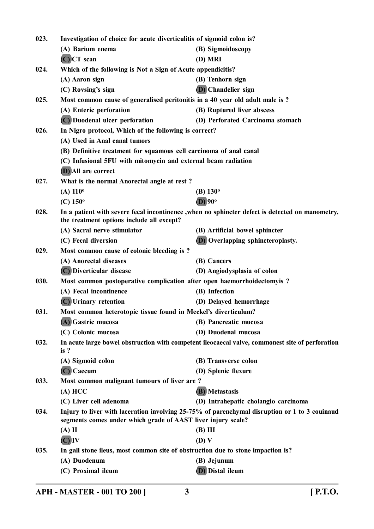| 023.<br>Investigation of choice for acute diverticulitis of sigmoid colon is? |                                                                                                                                                               |                                                                                                 |
|-------------------------------------------------------------------------------|---------------------------------------------------------------------------------------------------------------------------------------------------------------|-------------------------------------------------------------------------------------------------|
|                                                                               | (A) Barium enema                                                                                                                                              | (B) Sigmoidoscopy                                                                               |
|                                                                               | $(C)$ $CT$ scan                                                                                                                                               | (D) MRI                                                                                         |
| 024.                                                                          | Which of the following is Not a Sign of Acute appendicitis?                                                                                                   |                                                                                                 |
|                                                                               | (A) Aaron sign                                                                                                                                                | (B) Tenhorn sign                                                                                |
|                                                                               | (C) Rovsing's sign                                                                                                                                            | <b>(D)</b> Chandelier sign                                                                      |
| 025.                                                                          | Most common cause of generalised peritonitis in a 40 year old adult male is ?                                                                                 |                                                                                                 |
|                                                                               | (A) Enteric perforation                                                                                                                                       | (B) Ruptured liver abscess                                                                      |
|                                                                               | (C) Duodenal ulcer perforation                                                                                                                                | (D) Perforated Carcinoma stomach                                                                |
| 026.                                                                          | In Nigro protocol, Which of the following is correct?                                                                                                         |                                                                                                 |
|                                                                               | (A) Used in Anal canal tumors                                                                                                                                 |                                                                                                 |
|                                                                               | (B) Definitive treatment for squamous cell carcinoma of anal canal                                                                                            |                                                                                                 |
|                                                                               | (C) Infusional 5FU with mitomycin and external beam radiation                                                                                                 |                                                                                                 |
|                                                                               | (D) All are correct                                                                                                                                           |                                                                                                 |
| 027.                                                                          | What is the normal Anorectal angle at rest?                                                                                                                   |                                                                                                 |
|                                                                               | $(A) 110^{\circ}$                                                                                                                                             | (B) $130^\circ$                                                                                 |
|                                                                               | $(C) 150^{\circ}$                                                                                                                                             | $(D)$ 90 <sup>o</sup>                                                                           |
| 028.                                                                          | the treatment options include all except?                                                                                                                     | In a patient with severe fecal incontinence, when no sphincter defect is detected on manometry, |
|                                                                               | (A) Sacral nerve stimulator                                                                                                                                   | (B) Artificial bowel sphincter                                                                  |
|                                                                               | (C) Fecal diversion                                                                                                                                           | <b>(D)</b> Overlapping sphincteroplasty.                                                        |
| 029.                                                                          | Most common cause of colonic bleeding is ?                                                                                                                    |                                                                                                 |
|                                                                               | (A) Anorectal diseases                                                                                                                                        | (B) Cancers                                                                                     |
|                                                                               | (C) Diverticular disease                                                                                                                                      | (D) Angiodysplasia of colon                                                                     |
| 030.                                                                          | Most common postoperative complication after open haemorrhoidectomyis ?                                                                                       |                                                                                                 |
|                                                                               | (A) Fecal incontinence                                                                                                                                        | (B) Infection                                                                                   |
|                                                                               | (C) Urinary retention                                                                                                                                         | (D) Delayed hemorrhage                                                                          |
| 031.                                                                          | Most common heterotopic tissue found in Meckel's diverticulum?                                                                                                |                                                                                                 |
|                                                                               | (A) Gastric mucosa                                                                                                                                            | (B) Pancreatic mucosa                                                                           |
|                                                                               | (C) Colonic mucosa                                                                                                                                            | (D) Duodenal mucosa                                                                             |
| 032.                                                                          | is?                                                                                                                                                           | In acute large bowel obstruction with competent ileocaecal valve, commonest site of perforation |
|                                                                               | (A) Sigmoid colon                                                                                                                                             | (B) Transverse colon                                                                            |
|                                                                               | $(C)$ Caecum                                                                                                                                                  | (D) Splenic flexure                                                                             |
| 033.                                                                          | Most common malignant tumours of liver are?                                                                                                                   |                                                                                                 |
|                                                                               | (A) HCC                                                                                                                                                       | (B) Metastasis                                                                                  |
|                                                                               | (C) Liver cell adenoma                                                                                                                                        | (D) Intrahepatic cholangio carcinoma                                                            |
| 034.                                                                          | Injury to liver with laceration involving 25-75% of parenchymal disruption or 1 to 3 couinaud<br>segments comes under which grade of AAST liver injury scale? |                                                                                                 |
|                                                                               | $(A)$ II                                                                                                                                                      | $(B)$ III                                                                                       |
|                                                                               | $(C)$ IV                                                                                                                                                      | (D) V                                                                                           |
| 035.                                                                          | In gall stone ileus, most common site of obstruction due to stone impaction is?                                                                               |                                                                                                 |
|                                                                               | (A) Duodenum                                                                                                                                                  | (B) Jejunum                                                                                     |
|                                                                               | (C) Proximal ileum                                                                                                                                            | (D) Distal ileum                                                                                |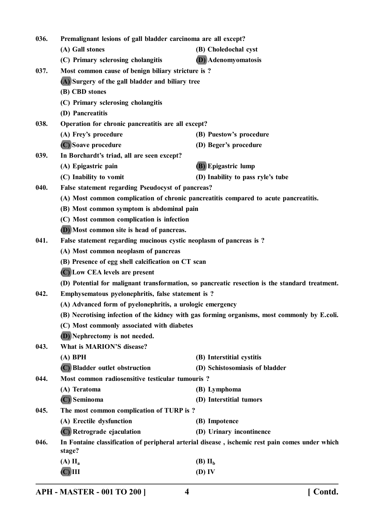| 036. | Premalignant lesions of gall bladder carcinoma are all except?                                            |                                                                                                |  |
|------|-----------------------------------------------------------------------------------------------------------|------------------------------------------------------------------------------------------------|--|
|      | (A) Gall stones                                                                                           | (B) Choledochal cyst                                                                           |  |
|      | (C) Primary sclerosing cholangitis                                                                        | <b>(D)</b> Adenomyomatosis                                                                     |  |
| 037. | Most common cause of benign biliary stricture is?                                                         |                                                                                                |  |
|      | (A) Surgery of the gall bladder and biliary tree                                                          |                                                                                                |  |
|      | (B) CBD stones                                                                                            |                                                                                                |  |
|      | (C) Primary sclerosing cholangitis                                                                        |                                                                                                |  |
|      | (D) Pancreatitis                                                                                          |                                                                                                |  |
| 038. | Operation for chronic pancreatitis are all except?                                                        |                                                                                                |  |
|      | (A) Frey's procedure                                                                                      | (B) Puestow's procedure                                                                        |  |
|      | (C) Soave procedure                                                                                       | (D) Beger's procedure                                                                          |  |
| 039. | In Borchardt's triad, all are seen except?                                                                |                                                                                                |  |
|      | (A) Epigastric pain                                                                                       | (B) Epigastric lump                                                                            |  |
|      | (C) Inability to vomit                                                                                    | (D) Inability to pass ryle's tube                                                              |  |
| 040. | False statement regarding Pseudocyst of pancreas?                                                         |                                                                                                |  |
|      |                                                                                                           | (A) Most common complication of chronic pancreatitis compared to acute pancreatitis.           |  |
|      | (B) Most common symptom is abdominal pain                                                                 |                                                                                                |  |
|      | (C) Most common complication is infection                                                                 |                                                                                                |  |
|      | (D) Most common site is head of pancreas.                                                                 |                                                                                                |  |
| 041. | False statement regarding mucinous cystic neoplasm of pancreas is ?                                       |                                                                                                |  |
|      | (A) Most common neoplasm of pancreas                                                                      |                                                                                                |  |
|      | (B) Presence of egg shell calcification on CT scan                                                        |                                                                                                |  |
|      | (C) Low CEA levels are present                                                                            |                                                                                                |  |
|      |                                                                                                           | (D) Potential for malignant transformation, so pancreatic resection is the standard treatment. |  |
| 042. | Emphysematous pyelonephritis, false statement is ?                                                        |                                                                                                |  |
|      | (A) Advanced form of pyelonephritis, a urologic emergency                                                 |                                                                                                |  |
|      | (B) Necrotising infection of the kidney with gas forming organisms, most commonly by E.coli.              |                                                                                                |  |
|      | (C) Most commonly associated with diabetes                                                                |                                                                                                |  |
|      | (D) Nephrectomy is not needed.                                                                            |                                                                                                |  |
| 043. | What is MARION'S disease?                                                                                 |                                                                                                |  |
|      | $(A)$ BPH                                                                                                 | (B) Interstitial cystitis                                                                      |  |
|      | (C) Bladder outlet obstruction                                                                            | (D) Schistosomiasis of bladder                                                                 |  |
| 044. | Most common radiosensitive testicular tumouris?                                                           |                                                                                                |  |
|      | (A) Teratoma                                                                                              | (B) Lymphoma                                                                                   |  |
|      | $(C)$ Seminoma                                                                                            | (D) Interstitial tumors                                                                        |  |
| 045. | The most common complication of TURP is ?                                                                 |                                                                                                |  |
|      | (A) Erectile dysfunction                                                                                  | (B) Impotence                                                                                  |  |
|      | (C) Retrograde ejaculation                                                                                | (D) Urinary incontinence                                                                       |  |
| 046. | In Fontaine classification of peripheral arterial disease, ischemic rest pain comes under which<br>stage? |                                                                                                |  |
|      | $(A)$ $\mathbf{II}_a$                                                                                     | $(B)$ $IIb$                                                                                    |  |
|      | $(C)$ $III$                                                                                               | (D) IV                                                                                         |  |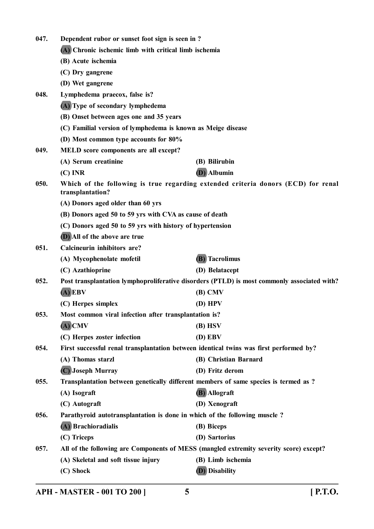| 047. | Dependent rubor or sunset foot sign is seen in?                                        |                                                                                             |
|------|----------------------------------------------------------------------------------------|---------------------------------------------------------------------------------------------|
|      | (A) Chronic ischemic limb with critical limb ischemia                                  |                                                                                             |
|      | (B) Acute ischemia                                                                     |                                                                                             |
|      | (C) Dry gangrene                                                                       |                                                                                             |
|      | (D) Wet gangrene                                                                       |                                                                                             |
| 048. | Lymphedema praecox, false is?                                                          |                                                                                             |
|      | (A) Type of secondary lymphedema                                                       |                                                                                             |
|      | (B) Onset between ages one and 35 years                                                |                                                                                             |
|      | (C) Familial version of lymphedema is known as Meige disease                           |                                                                                             |
|      | (D) Most common type accounts for 80%                                                  |                                                                                             |
| 049. | MELD score components are all except?                                                  |                                                                                             |
|      | (A) Serum creatinine                                                                   | (B) Bilirubin                                                                               |
|      | $(C)$ INR                                                                              | (D) Albumin                                                                                 |
| 050. | transplantation?                                                                       | Which of the following is true regarding extended criteria donors (ECD) for renal           |
|      | (A) Donors aged older than 60 yrs                                                      |                                                                                             |
|      | (B) Donors aged 50 to 59 yrs with CVA as cause of death                                |                                                                                             |
|      | (C) Donors aged 50 to 59 yrs with history of hypertension                              |                                                                                             |
|      | (D) All of the above are true                                                          |                                                                                             |
| 051. | Calcineurin inhibitors are?                                                            |                                                                                             |
|      | (A) Mycophenolate mofetil                                                              | <b>(B)</b> Tacrolimus                                                                       |
|      | (C) Azathioprine                                                                       | (D) Belatacept                                                                              |
| 052. |                                                                                        | Post transplantation lymphoproliferative disorders (PTLD) is most commonly associated with? |
|      | $(A)$ EBV                                                                              | $(B)$ CMV                                                                                   |
|      | (C) Herpes simplex                                                                     | $(D)$ HPV                                                                                   |
| 053. | Most common viral infection after transplantation is?                                  |                                                                                             |
|      | $(A)$ CMV                                                                              | $(B)$ HSV                                                                                   |
|      | (C) Herpes zoster infection                                                            | $(D)$ EBV                                                                                   |
| 054. | First successful renal transplantation between identical twins was first performed by? |                                                                                             |
|      | (A) Thomas starzl                                                                      | (B) Christian Barnard                                                                       |
|      | (C) Joseph Murray                                                                      | (D) Fritz derom                                                                             |
| 055. | Transplantation between genetically different members of same species is termed as ?   |                                                                                             |
|      | (A) Isograft                                                                           | (B) Allograft                                                                               |
|      | (C) Autograft                                                                          | (D) Xenograft                                                                               |
| 056. | Parathyroid autotransplantation is done in which of the following muscle?              |                                                                                             |
|      | (A) Brachioradialis                                                                    | (B) Biceps                                                                                  |
|      | (C) Triceps                                                                            | (D) Sartorius                                                                               |
| 057. |                                                                                        | All of the following are Components of MESS (mangled extremity severity score) except?      |
|      | (A) Skeletal and soft tissue injury                                                    | (B) Limb ischemia                                                                           |
|      | (C) Shock                                                                              | (D) Disability                                                                              |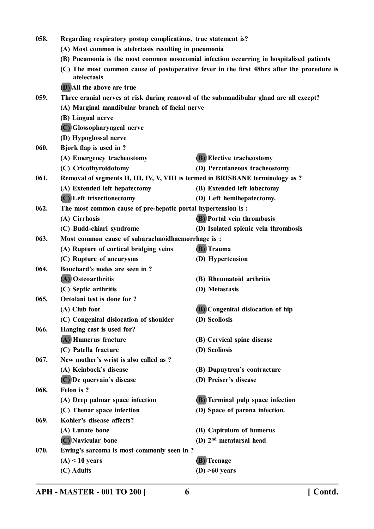**058. Regarding respiratory postop complications, true statement is? (A) Most common is atelectasis resulting in pneumonia (B) Pneumonia is the most common nosocomial infection occurring in hospitalised patients (C) The most common cause of postoperative fever in the first 48hrs after the procedure is atelectasis (D) All the above are true 059. Three cranial nerves at risk during removal of the submandibular gland are all except? (A) Marginal mandibular branch of facial nerve (B) Lingual nerve (C) Glossopharyngeal nerve (D) Hypoglossal nerve 060. Bjork flap is used in ? (A) Emergency tracheostomy (B) Elective tracheostomy (C) Cricothyroidotomy (D) Percutaneous tracheostomy 061. Removal of segments II, III, IV, V, VIII is termed in BRISBANE terminology as ? (A) Extended left hepatectomy (B) Extended left lobectomy (C) Left trisectionectomy (D) Left hemihepatectomy. 062. The most common cause of pre-hepatic portal hypertension is : (A) Cirrhosis (B) Portal vein thrombosis (C) Budd-chiari syndrome (D) Isolated splenic vein thrombosis 063. Most common cause of subarachnoidhaemorrhage is : (A) Rupture of cortical bridging veins (B) Trauma (C) Rupture of aneurysms (D) Hypertension 064. Bouchard's nodes are seen in ? (A) Osteoarthritis (B) Rheumatoid arthritis (C) Septic arthritis (D) Metastasis 065. Ortolani test is done for ? (A) Club foot (B) Congenital dislocation of hip (C) Congenital dislocation of shoulder (D) Scoliosis 066. Hanging cast is used for? (A) Humerus fracture (B) Cervical spine disease (C) Patella fracture (D) Scoliosis 067. New mother's wrist is also called as ? (A) Keinbock's disease (B) Dupuytren's contracture (C) De quervain's disease (D) Preiser's disease 068. Felon is ? (A) Deep palmar space infection (B) Terminal pulp space infection (C) Thenar space infection (D) Space of parona infection. 069. Kohler's disease affects? (A) Lunate bone (B) Capitulum of humerus (C) Navicular bone (D) 2nd metatarsal head 070. Ewing's sarcoma is most commonly seen in ? (A) < 10 years (B) Teenage (C) Adults (D) >60 years**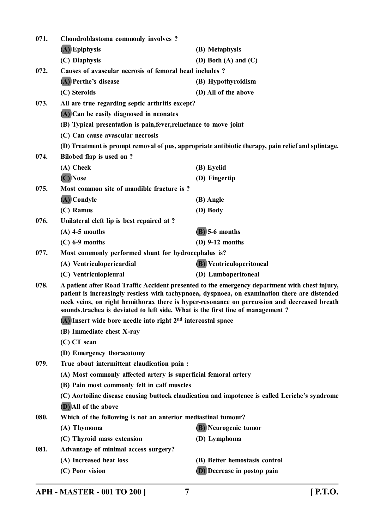| 071. | Chondroblastoma commonly involves?                                                                                                                                                                                                                                                                                                                                                                                                                    |                                                                                                    |  |
|------|-------------------------------------------------------------------------------------------------------------------------------------------------------------------------------------------------------------------------------------------------------------------------------------------------------------------------------------------------------------------------------------------------------------------------------------------------------|----------------------------------------------------------------------------------------------------|--|
|      | (A) Epiphysis                                                                                                                                                                                                                                                                                                                                                                                                                                         | (B) Metaphysis                                                                                     |  |
|      | (C) Diaphysis                                                                                                                                                                                                                                                                                                                                                                                                                                         | (D) Both (A) and $(C)$                                                                             |  |
| 072. | Causes of avascular necrosis of femoral head includes?                                                                                                                                                                                                                                                                                                                                                                                                |                                                                                                    |  |
|      | (A) Perthe's disease                                                                                                                                                                                                                                                                                                                                                                                                                                  | (B) Hypothyroidism                                                                                 |  |
|      | (C) Steroids                                                                                                                                                                                                                                                                                                                                                                                                                                          | (D) All of the above                                                                               |  |
| 073. | All are true regarding septic arthritis except?                                                                                                                                                                                                                                                                                                                                                                                                       |                                                                                                    |  |
|      | (A) Can be easily diagnosed in neonates                                                                                                                                                                                                                                                                                                                                                                                                               |                                                                                                    |  |
|      | (B) Typical presentation is pain, fever, reluctance to move joint                                                                                                                                                                                                                                                                                                                                                                                     |                                                                                                    |  |
|      | (C) Can cause avascular necrosis                                                                                                                                                                                                                                                                                                                                                                                                                      |                                                                                                    |  |
|      |                                                                                                                                                                                                                                                                                                                                                                                                                                                       | (D) Treatment is prompt removal of pus, appropriate antibiotic therapy, pain relief and splintage. |  |
| 074. | Bilobed flap is used on ?                                                                                                                                                                                                                                                                                                                                                                                                                             |                                                                                                    |  |
|      | (A) Cheek                                                                                                                                                                                                                                                                                                                                                                                                                                             | (B) Eyelid                                                                                         |  |
|      | (C) Nose                                                                                                                                                                                                                                                                                                                                                                                                                                              | (D) Fingertip                                                                                      |  |
| 075. | Most common site of mandible fracture is?                                                                                                                                                                                                                                                                                                                                                                                                             |                                                                                                    |  |
|      | (A) Condyle                                                                                                                                                                                                                                                                                                                                                                                                                                           | (B) Angle                                                                                          |  |
|      | (C) Ramus                                                                                                                                                                                                                                                                                                                                                                                                                                             | (D) Body                                                                                           |  |
| 076. | Unilateral cleft lip is best repaired at ?                                                                                                                                                                                                                                                                                                                                                                                                            |                                                                                                    |  |
|      | $(A)$ 4-5 months                                                                                                                                                                                                                                                                                                                                                                                                                                      | $(B)$ 5-6 months                                                                                   |  |
|      | $(C)$ 6-9 months                                                                                                                                                                                                                                                                                                                                                                                                                                      | $(D)$ 9-12 months                                                                                  |  |
| 077. | Most commonly performed shunt for hydrocephalus is?                                                                                                                                                                                                                                                                                                                                                                                                   |                                                                                                    |  |
|      | (A) Ventriculopericardial                                                                                                                                                                                                                                                                                                                                                                                                                             | (B) Ventriculoperitoneal                                                                           |  |
|      | (C) Ventriculopleural                                                                                                                                                                                                                                                                                                                                                                                                                                 | (D) Lumboperitoneal                                                                                |  |
| 078. | A patient after Road Traffic Accident presented to the emergency department with chest injury,<br>patient is increasingly restless with tachypnoea, dyspnoea, on examination there are distended<br>neck veins, on right hemithorax there is hyper-resonance on percussion and decreased breath<br>sounds.trachea is deviated to left side. What is the first line of management?<br>$(A)$ Insert wide bore needle into right $2nd$ intercostal space |                                                                                                    |  |
|      |                                                                                                                                                                                                                                                                                                                                                                                                                                                       |                                                                                                    |  |
|      | (B) Immediate chest X-ray                                                                                                                                                                                                                                                                                                                                                                                                                             |                                                                                                    |  |
|      | $(C)$ CT scan                                                                                                                                                                                                                                                                                                                                                                                                                                         |                                                                                                    |  |
|      | (D) Emergency thoracotomy                                                                                                                                                                                                                                                                                                                                                                                                                             |                                                                                                    |  |
| 079. | True about intermittent claudication pain :                                                                                                                                                                                                                                                                                                                                                                                                           |                                                                                                    |  |
|      | (A) Most commonly affected artery is superficial femoral artery                                                                                                                                                                                                                                                                                                                                                                                       |                                                                                                    |  |
|      | (B) Pain most commonly felt in calf muscles                                                                                                                                                                                                                                                                                                                                                                                                           |                                                                                                    |  |
|      |                                                                                                                                                                                                                                                                                                                                                                                                                                                       | (C) Aortoiliac disease causing buttock claudication and impotence is called Leriche's syndrome     |  |
|      | (D) All of the above                                                                                                                                                                                                                                                                                                                                                                                                                                  |                                                                                                    |  |
| 080. | Which of the following is not an anterior mediastinal tumour?                                                                                                                                                                                                                                                                                                                                                                                         |                                                                                                    |  |
|      | (A) Thymoma                                                                                                                                                                                                                                                                                                                                                                                                                                           | (B) Neurogenic tumor                                                                               |  |
|      | (C) Thyroid mass extension                                                                                                                                                                                                                                                                                                                                                                                                                            | (D) Lymphoma                                                                                       |  |
| 081. | Advantage of minimal access surgery?                                                                                                                                                                                                                                                                                                                                                                                                                  |                                                                                                    |  |
|      | (A) Increased heat loss                                                                                                                                                                                                                                                                                                                                                                                                                               | (B) Better hemostasis control                                                                      |  |
|      | (C) Poor vision                                                                                                                                                                                                                                                                                                                                                                                                                                       | (D) Decrease in postop pain                                                                        |  |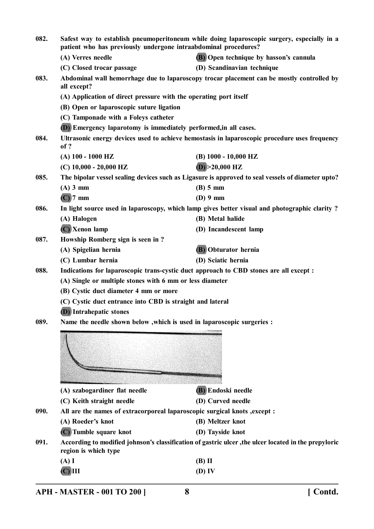| 082. | Safest way to establish pneumoperitoneum while doing laparoscopic surgery, especially in a<br>patient who has previously undergone intraabdominal procedures? |                                                                                                      |
|------|---------------------------------------------------------------------------------------------------------------------------------------------------------------|------------------------------------------------------------------------------------------------------|
|      | (A) Verres needle                                                                                                                                             | (B) Open technique by hasson's cannula                                                               |
|      | (C) Closed trocar passage                                                                                                                                     | (D) Scandinavian technique                                                                           |
| 083. | all except?                                                                                                                                                   | Abdominal wall hemorrhage due to laparoscopy trocar placement can be mostly controlled by            |
|      | (A) Application of direct pressure with the operating port itself                                                                                             |                                                                                                      |
|      | (B) Open or laparoscopic suture ligation                                                                                                                      |                                                                                                      |
|      | (C) Tamponade with a Foleys catheter                                                                                                                          |                                                                                                      |
|      | (D) Emergency laparotomy is immediately performed, in all cases.                                                                                              |                                                                                                      |
| 084. | Ultrasonic energy devices used to achieve hemostasis in laparoscopic procedure uses frequency<br>of ?                                                         |                                                                                                      |
|      | $(A)$ 100 - 1000 HZ                                                                                                                                           | (B) 1000 - 10,000 HZ                                                                                 |
|      | $(C)$ 10,000 - 20,000 HZ                                                                                                                                      | $(D) > 20,000$ HZ                                                                                    |
| 085. |                                                                                                                                                               | The bipolar vessel sealing devices such as Ligasure is approved to seal vessels of diameter upto?    |
|      | $(A)$ 3 mm                                                                                                                                                    | $(B)$ 5 mm                                                                                           |
|      | $(C)$ 7 mm                                                                                                                                                    | $(D)$ 9 mm                                                                                           |
| 086. |                                                                                                                                                               | In light source used in laparoscopy, which lamp gives better visual and photographic clarity?        |
|      | (A) Halogen                                                                                                                                                   | (B) Metal halide                                                                                     |
|      | (C) Xenon lamp                                                                                                                                                | (D) Incandescent lamp                                                                                |
| 087. | Howship Romberg sign is seen in?                                                                                                                              |                                                                                                      |
|      | (A) Spigelian hernia                                                                                                                                          | (B) Obturator hernia                                                                                 |
|      | (C) Lumbar hernia                                                                                                                                             | (D) Sciatic hernia                                                                                   |
| 088. | Indications for laparoscopic trans-cystic duct approach to CBD stones are all except :                                                                        |                                                                                                      |
|      | (A) Single or multiple stones with 6 mm or less diameter                                                                                                      |                                                                                                      |
|      | (B) Cystic duct diameter 4 mm or more                                                                                                                         |                                                                                                      |
|      | (C) Cystic duct entrance into CBD is straight and lateral                                                                                                     |                                                                                                      |
|      | <b>(D)</b> Intrahepatic stones                                                                                                                                |                                                                                                      |
| 089. | Name the needle shown below , which is used in laparoscopic surgeries :                                                                                       |                                                                                                      |
|      |                                                                                                                                                               |                                                                                                      |
|      |                                                                                                                                                               |                                                                                                      |
|      |                                                                                                                                                               |                                                                                                      |
|      |                                                                                                                                                               |                                                                                                      |
|      |                                                                                                                                                               |                                                                                                      |
|      | (A) szabogardiner flat needle                                                                                                                                 | (B) Endoski needle                                                                                   |
|      | (C) Keith straight needle                                                                                                                                     | (D) Curved needle                                                                                    |
| 090. | All are the names of extracorporeal laparoscopic surgical knots , except :                                                                                    |                                                                                                      |
|      | (A) Roeder's knot                                                                                                                                             | (B) Meltzer knot                                                                                     |
|      | (C) Tumble square knot                                                                                                                                        | (D) Tayside knot                                                                                     |
| 091. | region is which type                                                                                                                                          | According to modified johnson's classification of gastric ulcer, the ulcer located in the prepyloric |
|      | (A)I                                                                                                                                                          | $(B)$ II                                                                                             |
|      | $\overline{\text{C}}$ $\overline{\text{III}}$                                                                                                                 | $(D)$ IV                                                                                             |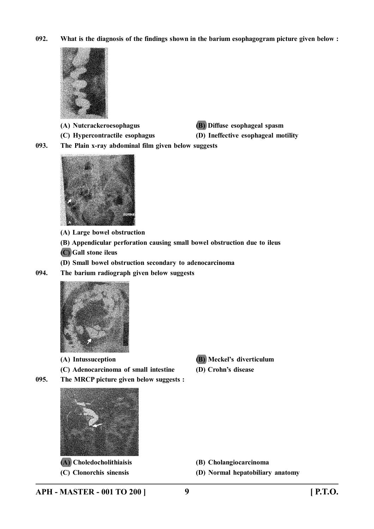**092. What is the diagnosis of the findings shown in the barium esophagogram picture given below :**



- **(A) Nutcrackeroesophagus (B) Diffuse esophageal spasm**
- **(C) Hypercontractile esophagus (D) Ineffective esophageal motility**
- 

**093. The Plain x-ray abdominal film given below suggests**



**(A) Large bowel obstruction**

**(B) Appendicular perforation causing small bowel obstruction due to ileus**

**(C) Gall stone ileus**

**(D) Small bowel obstruction secondary to adenocarcinoma**

**094. The barium radiograph given below suggests**



- 
- **(C) Adenocarcinoma of small intestine (D) Crohn's disease**
- **(A) Intussuception (B) Meckel's diverticulum**
	-
- **095. The MRCP picture given below suggests :**



**(A) Choledocholithiaisis (B) Cholangiocarcinoma**

**(C) Clonorchis sinensis (D) Normal hepatobiliary anatomy**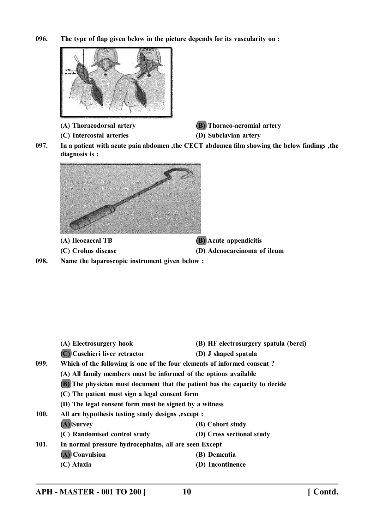**096. The type of flap given below in the picture depends for its vascularity on :**



**(A) Thoracodorsal artery (B) Thoraco-acromial artery**

- **(C) Intercostal arteries (D) Subclavian artery**
- 
- **097. In a patient with acute pain abdomen ,the CECT abdomen film showing the below findings ,the diagnosis is :**





**098. Name the laparoscopic instrument given below :**

|      | (A) Electrosurgery hook                                                     | (B) HF electrosurgery spatula (berci) |
|------|-----------------------------------------------------------------------------|---------------------------------------|
|      | (C) Cuschieri liver retractor                                               | (D) J shaped spatula                  |
| 099. | Which of the following is one of the four elements of informed consent?     |                                       |
|      | (A) All family members must be informed of the options available            |                                       |
|      | (B) The physician must document that the patient has the capacity to decide |                                       |
|      | (C) The patient must sign a legal consent form                              |                                       |
|      | (D) The legal consent form must be signed by a witness                      |                                       |
| 100. | All are hypothesis testing study designs, except :                          |                                       |
|      | (A) Survey                                                                  | (B) Cohort study                      |
|      | (C) Randomised control study                                                | (D) Cross sectional study             |
| 101. | In normal pressure hydrocephalus, all are seen Except                       |                                       |
|      | (A) Convulsion                                                              | (B) Dementia                          |
|      | (C) Ataxia                                                                  | (D) Incontinence                      |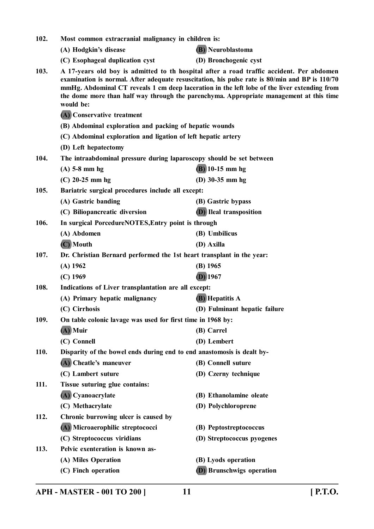|             | (A) Hodgkin's disease                                                  | <b>(B)</b> Neuroblastoma                                                                                                                                                                                                                                                                                                                                                              |  |
|-------------|------------------------------------------------------------------------|---------------------------------------------------------------------------------------------------------------------------------------------------------------------------------------------------------------------------------------------------------------------------------------------------------------------------------------------------------------------------------------|--|
|             | (C) Esophageal duplication cyst                                        | (D) Bronchogenic cyst                                                                                                                                                                                                                                                                                                                                                                 |  |
| 103.        | would be:                                                              | A 17-years old boy is admitted to th hospital after a road traffic accident. Per abdomen<br>examination is normal. After adequate resuscitation, his pulse rate is 80/min and BP is 110/70<br>mmHg. Abdominal CT reveals 1 cm deep laceration in the left lobe of the liver extending from<br>the dome more than half way through the parenchyma. Appropriate management at this time |  |
|             | (A) Conservative treatment                                             |                                                                                                                                                                                                                                                                                                                                                                                       |  |
|             | (B) Abdominal exploration and packing of hepatic wounds                |                                                                                                                                                                                                                                                                                                                                                                                       |  |
|             | (C) Abdominal exploration and ligation of left hepatic artery          |                                                                                                                                                                                                                                                                                                                                                                                       |  |
|             | (D) Left hepatectomy                                                   |                                                                                                                                                                                                                                                                                                                                                                                       |  |
| 104.        | The intraabdominal pressure during laparoscopy should be set between   |                                                                                                                                                                                                                                                                                                                                                                                       |  |
|             | $(A)$ 5-8 mm hg                                                        | $(B)$ 10-15 mm hg                                                                                                                                                                                                                                                                                                                                                                     |  |
|             | $(C)$ 20-25 mm hg                                                      | (D) $30-35$ mm hg                                                                                                                                                                                                                                                                                                                                                                     |  |
| 105.        | Bariatric surgical procedures include all except:                      |                                                                                                                                                                                                                                                                                                                                                                                       |  |
|             | (A) Gastric banding                                                    | (B) Gastric bypass                                                                                                                                                                                                                                                                                                                                                                    |  |
|             | (C) Biliopancreatic diversion                                          | <b>D</b> ) Ileal transposition                                                                                                                                                                                                                                                                                                                                                        |  |
| 106.        | In surgical PorcedureNOTES, Entry point is through                     |                                                                                                                                                                                                                                                                                                                                                                                       |  |
|             | (A) Abdomen                                                            | (B) Umbilicus                                                                                                                                                                                                                                                                                                                                                                         |  |
|             | (C) Mouth                                                              | (D) Axilla                                                                                                                                                                                                                                                                                                                                                                            |  |
| 107.        | Dr. Christian Bernard performed the 1st heart transplant in the year:  |                                                                                                                                                                                                                                                                                                                                                                                       |  |
|             | $(A)$ 1962                                                             | $(B)$ 1965                                                                                                                                                                                                                                                                                                                                                                            |  |
|             | $(C)$ 1969                                                             | $(D)$ 1967                                                                                                                                                                                                                                                                                                                                                                            |  |
| 108.        | Indications of Liver transplantation are all except:                   |                                                                                                                                                                                                                                                                                                                                                                                       |  |
|             | (A) Primary hepatic malignancy                                         | <b>(B)</b> Hepatitis A                                                                                                                                                                                                                                                                                                                                                                |  |
|             | (C) Cirrhosis                                                          | (D) Fulminant hepatic failure                                                                                                                                                                                                                                                                                                                                                         |  |
| 109.        | On table colonic lavage was used for first time in 1968 by:            |                                                                                                                                                                                                                                                                                                                                                                                       |  |
|             | (A) Muir                                                               | (B) Carrel                                                                                                                                                                                                                                                                                                                                                                            |  |
|             | (C) Connell                                                            | (D) Lembert                                                                                                                                                                                                                                                                                                                                                                           |  |
| <b>110.</b> | Disparity of the bowel ends during end to end anastomosis is dealt by- |                                                                                                                                                                                                                                                                                                                                                                                       |  |
|             | (A) Cheatle's maneuver                                                 | (B) Connell suture                                                                                                                                                                                                                                                                                                                                                                    |  |
|             | (C) Lambert suture                                                     | (D) Czerny technique                                                                                                                                                                                                                                                                                                                                                                  |  |
| 111.        | Tissue suturing glue contains:                                         |                                                                                                                                                                                                                                                                                                                                                                                       |  |
|             | (A) Cyanoacrylate                                                      | (B) Ethanolamine oleate                                                                                                                                                                                                                                                                                                                                                               |  |
|             | (C) Methacrylate                                                       | (D) Polychloroprene                                                                                                                                                                                                                                                                                                                                                                   |  |
| 112.        | Chronic burrowing ulcer is caused by                                   |                                                                                                                                                                                                                                                                                                                                                                                       |  |
|             | (A) Microaerophilic streptococci                                       | (B) Peptostreptococcus                                                                                                                                                                                                                                                                                                                                                                |  |
|             | (C) Streptococcus viridians                                            | (D) Streptococcus pyogenes                                                                                                                                                                                                                                                                                                                                                            |  |
| 113.        | Pelvic exenteration is known as-                                       |                                                                                                                                                                                                                                                                                                                                                                                       |  |
|             | (A) Miles Operation                                                    | (B) Lyods operation                                                                                                                                                                                                                                                                                                                                                                   |  |
|             | (C) Finch operation                                                    | <b>(D)</b> Brunschwigs operation                                                                                                                                                                                                                                                                                                                                                      |  |

**102. Most common extracranial malignancy in children is:**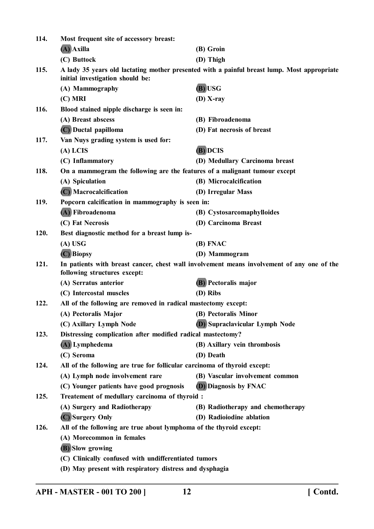| 114. | Most frequent site of accessory breast:                                                                                    |                                                                                             |
|------|----------------------------------------------------------------------------------------------------------------------------|---------------------------------------------------------------------------------------------|
|      | (A) Axilla                                                                                                                 | (B) Groin                                                                                   |
|      | (C) Buttock                                                                                                                | (D) Thigh                                                                                   |
| 115. | initial investigation should be:                                                                                           | A lady 35 years old lactating mother presented with a painful breast lump. Most appropriate |
|      | (A) Mammography                                                                                                            | (B) USG                                                                                     |
|      | $(C)$ MRI                                                                                                                  | $(D)$ X-ray                                                                                 |
| 116. | Blood stained nipple discharge is seen in:                                                                                 |                                                                                             |
|      | (A) Breast abscess                                                                                                         | (B) Fibroadenoma                                                                            |
|      | (C) Ductal papilloma                                                                                                       | (D) Fat necrosis of breast                                                                  |
| 117. | Van Nuys grading system is used for:                                                                                       |                                                                                             |
|      | $(A)$ LCIS                                                                                                                 | (B) DCIS                                                                                    |
|      | (C) Inflammatory                                                                                                           | (D) Medullary Carcinoma breast                                                              |
| 118. | On a mammogram the following are the features of a malignant tumour except                                                 |                                                                                             |
|      | (A) Spiculation                                                                                                            | (B) Microcalcification                                                                      |
|      | (C) Macrocalcification                                                                                                     | (D) Irregular Mass                                                                          |
| 119. | Popcorn calcification in mammography is seen in:                                                                           |                                                                                             |
|      | (A) Fibroadenoma                                                                                                           | (B) Cystosarcomaphylloides                                                                  |
|      | (C) Fat Necrosis                                                                                                           | (D) Carcinoma Breast                                                                        |
| 120. | Best diagnostic method for a breast lump is-                                                                               |                                                                                             |
|      | $(A)$ USG                                                                                                                  | (B) FNAC                                                                                    |
|      | (C) Biopsy                                                                                                                 | (D) Mammogram                                                                               |
| 121. | In patients with breast cancer, chest wall involvement means involvement of any one of the<br>following structures except: |                                                                                             |
|      | (A) Serratus anterior                                                                                                      | (B) Pectoralis major                                                                        |
|      | (C) Intercostal muscles                                                                                                    | (D) Ribs                                                                                    |
| 122. | All of the following are removed in radical mastectomy except:                                                             |                                                                                             |
|      | (A) Pectoralis Major                                                                                                       | (B) Pectoralis Minor                                                                        |
|      | (C) Axillary Lymph Node                                                                                                    | <b>D</b> ) Supraclavicular Lymph Node                                                       |
| 123. | Distressing complication after modified radical mastectomy?                                                                |                                                                                             |
|      | (A) Lymphedema                                                                                                             | (B) Axillary vein thrombosis                                                                |
|      | (C) Seroma                                                                                                                 | (D) Death                                                                                   |
| 124. | All of the following are true for follicular carcinoma of thyroid except:                                                  |                                                                                             |
|      | (A) Lymph node involvement rare                                                                                            | (B) Vascular involvement common                                                             |
|      | (C) Younger patients have good prognosis                                                                                   | (D) Diagnosis by FNAC                                                                       |
| 125. | Treatement of medullary carcinoma of thyroid :                                                                             |                                                                                             |
|      | (A) Surgery and Radiotherapy                                                                                               | (B) Radiotherapy and chemotherapy                                                           |
|      | (C) Surgery Only                                                                                                           | (D) Radioiodine ablation                                                                    |
| 126. | All of the following are true about lymphoma of the thyroid except:                                                        |                                                                                             |
|      | (A) Morecommon in females                                                                                                  |                                                                                             |
|      | (B) Slow growing                                                                                                           |                                                                                             |
|      | (C) Clinically confused with undifferentiated tumors                                                                       |                                                                                             |
|      | (D) May present with respiratory distress and dysphagia                                                                    |                                                                                             |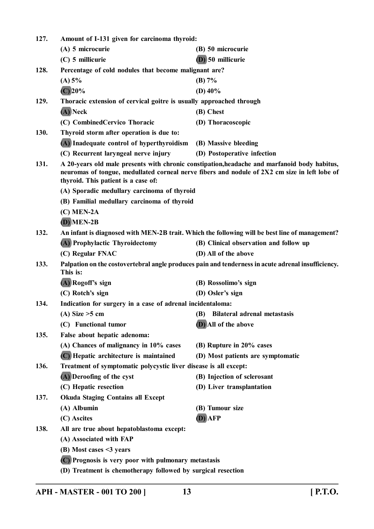| 127. | Amount of I-131 given for carcinoma thyroid:                                                                                                                                                                                         |                                                                                                |  |
|------|--------------------------------------------------------------------------------------------------------------------------------------------------------------------------------------------------------------------------------------|------------------------------------------------------------------------------------------------|--|
|      | (A) 5 microcurie                                                                                                                                                                                                                     | (B) 50 microcurie                                                                              |  |
|      | $(C)$ 5 millicurie                                                                                                                                                                                                                   | (D) 50 millicurie                                                                              |  |
| 128. | Percentage of cold nodules that become malignant are?                                                                                                                                                                                |                                                                                                |  |
|      | (A) 5%                                                                                                                                                                                                                               | (B) 7%                                                                                         |  |
|      | $(C)$ 20%                                                                                                                                                                                                                            | (D) $40\%$                                                                                     |  |
| 129. | Thoracic extension of cervical goitre is usually approached through                                                                                                                                                                  |                                                                                                |  |
|      | (A) Neck                                                                                                                                                                                                                             | (B) Chest                                                                                      |  |
|      | (C) Combined Cervico Thoracic                                                                                                                                                                                                        | (D) Thoracoscopic                                                                              |  |
| 130. | Thyroid storm after operation is due to:                                                                                                                                                                                             |                                                                                                |  |
|      | (A) Inadequate control of hyperthyroidism (B) Massive bleeding                                                                                                                                                                       |                                                                                                |  |
|      | (C) Recurrent laryngeal nerve injury                                                                                                                                                                                                 | (D) Postoperative infection                                                                    |  |
| 131. | A 20-years old male presents with chronic constipation, headache and marfanoid body habitus,<br>neuromas of tongue, medullated corneal nerve fibers and nodule of 2X2 cm size in left lobe of<br>thyroid. This patient is a case of: |                                                                                                |  |
|      | (A) Sporadic medullary carcinoma of thyroid                                                                                                                                                                                          |                                                                                                |  |
|      |                                                                                                                                                                                                                                      | (B) Familial medullary carcinoma of thyroid                                                    |  |
|      | $(C)$ MEN-2A                                                                                                                                                                                                                         |                                                                                                |  |
|      | $(D)$ MEN-2B                                                                                                                                                                                                                         |                                                                                                |  |
| 132. |                                                                                                                                                                                                                                      | An infant is diagnosed with MEN-2B trait. Which the following will be best line of management? |  |
|      | (A) Prophylactic Thyroidectomy                                                                                                                                                                                                       | (B) Clinical observation and follow up                                                         |  |
|      | (C) Regular FNAC                                                                                                                                                                                                                     | (D) All of the above                                                                           |  |
| 133. | Palpation on the costovertebral angle produces pain and tenderness in acute adrenal insufficiency.<br>This is:                                                                                                                       |                                                                                                |  |
|      | (A) Rogoff's sign                                                                                                                                                                                                                    | (B) Rossolimo's sign                                                                           |  |
|      | (C) Rotch's sign                                                                                                                                                                                                                     | (D) Osler's sign                                                                               |  |
| 134. | Indication for surgery in a case of adrenal incidentaloma:                                                                                                                                                                           |                                                                                                |  |
|      | (A) Size $>5$ cm                                                                                                                                                                                                                     | (B) Bilateral adrenal metastasis                                                               |  |
|      | (C) Functional tumor                                                                                                                                                                                                                 | (D) All of the above                                                                           |  |
| 135. | False about hepatic adenoma:                                                                                                                                                                                                         |                                                                                                |  |
|      | (A) Chances of malignancy in 10% cases                                                                                                                                                                                               | (B) Rupture in 20% cases                                                                       |  |
|      | (C) Hepatic architecture is maintained                                                                                                                                                                                               | (D) Most patients are symptomatic                                                              |  |
| 136. | Treatment of symptomatic polycystic liver disease is all except:                                                                                                                                                                     |                                                                                                |  |
|      | (A) Deroofing of the cyst                                                                                                                                                                                                            | (B) Injection of sclerosant                                                                    |  |
|      | (C) Hepatic resection                                                                                                                                                                                                                | (D) Liver transplantation                                                                      |  |
| 137. | <b>Okuda Staging Contains all Except</b>                                                                                                                                                                                             |                                                                                                |  |
|      | (A) Albumin                                                                                                                                                                                                                          | (B) Tumour size                                                                                |  |
|      | (C) Ascites                                                                                                                                                                                                                          | (D) AFP                                                                                        |  |
| 138. | All are true about hepatoblastoma except:                                                                                                                                                                                            |                                                                                                |  |
|      | (A) Associated with FAP                                                                                                                                                                                                              |                                                                                                |  |
|      | $(B)$ Most cases $\leq$ 3 years                                                                                                                                                                                                      |                                                                                                |  |
|      | (C) Prognosis is very poor with pulmonary metastasis                                                                                                                                                                                 |                                                                                                |  |
|      | (D) Treatment is chemotherapy followed by surgical resection                                                                                                                                                                         |                                                                                                |  |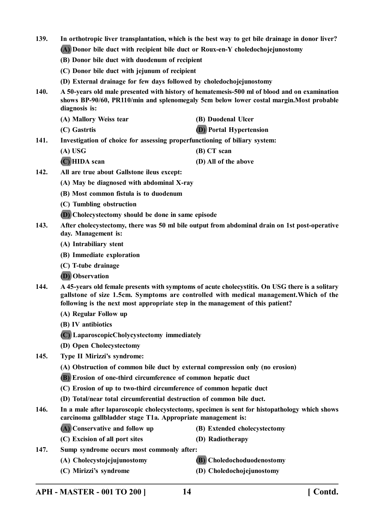- **139. In orthotropic liver transplantation, which is the best way to get bile drainage in donor liver?**
	- **(A) Donor bile duct with recipient bile duct or Roux-en-Y choledochojejunostomy**
	- **(B) Donor bile duct with duodenum of recipient**
	- **(C) Donor bile duct with jejunum of recipient**
	- **(D) External drainage for few days followed by choledochojejunostomy**
- **140. A 50-years old male presented with history of hematemesis-500 ml of blood and on examination shows BP-90/60, PR110/min and splenomegaly 5cm below lower costal margin.Most probable diagnosis is:**
- **(A) Mallory Weiss tear (B) Duodenal Ulcer (C) Gastrtis (D) Portal Hypertension 141. Investigation of choice for assessing properfunctioning of biliary system:**
	- **(A) USG (B) CT scan**
	- **(C) HIDA scan (D) All of the above**
- **142. All are true about Gallstone ileus except:**
	- **(A) May be diagnosed with abdominal X-ray**
	- **(B) Most common fistula is to duodenum**
	- **(C) Tumbling obstruction**
	- **(D) Cholecystectomy should be done in same episode**
- **143. After cholecystectomy, there was 50 ml bile output from abdominal drain on 1st post-operative day. Management is:**
	- **(A) Intrabiliary stent**
	- **(B) Immediate exploration**
	- **(C) T-tube drainage**
	- **(D) Observation**
- **144. A 45-years old female presents with symptoms of acute cholecystitis. On USG there is a solitary gallstone of size 1.5cm. Symptoms are controlled with medical management.Which of the following is the next most appropriate step in the management of this patient?**
	- **(A) Regular Follow up**
	- **(B) IV antibiotics**
	- **(C) LaparoscopicCholycystectomy immediately**
	- **(D) Open Cholecystectomy**
- **145. Type II Mirizzi's syndrome:**
	- **(A) Obstruction of common bile duct by external compression only (no erosion)**
	- **(B) Erosion of one-third circumference of common hepatic duct**
	- **(C) Erosion of up to two-third circumference of common hepatic duct**
	- **(D) Total/near total circumferential destruction of common bile duct.**
- **146. In a male after laparoscopic cholecystectomy, specimen is sent for histopathology which shows carcinoma gallbladder stage T1a. Appropriate management is:**
	- **(A) Conservative and follow up (B) Extended cholecystectomy**
		-
	- **(C) Excision of all port sites (D) Radiotherapy**
- **147. Sump syndrome occurs most commonly after:**
	- **(A) Cholecystojejujunostomy (B) Choledochoduodenostomy**
		-
	- **(C) Mirizzi's syndrome (D) Choledochojejunostomy**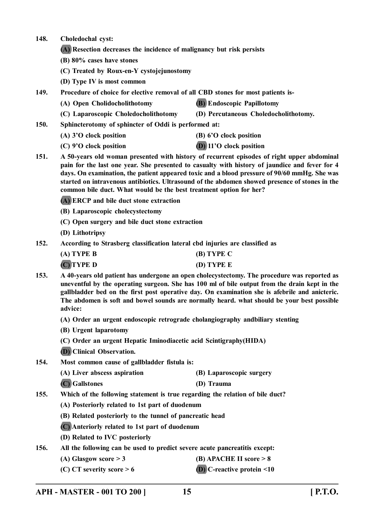| 148.<br>Choledochal cyst: |  |
|---------------------------|--|
|---------------------------|--|

- **(A) Resection decreases the incidence of malignancy but risk persists**
- **(B) 80% cases have stones**
- **(C) Treated by Roux-en-Y cystojejunostomy**
- **(D) Type IV is most common**
- **149. Procedure of choice for elective removal of all CBD stones for most patients is-**
	- **(A) Open Cholidocholithotomy (B) Endoscopic Papillotomy**
	- **(C) Laparoscopic Choledocholithotomy (D) Percutaneous Choledocholithotomy.**
- **150. Sphincterotomy of sphincter of Oddi is performed at:**
	- **(A) 3'O clock position (B) 6'O clock position**
	-
- 
- **(C) 9'O clock position (D) 11'O clock position**
- **151. A 50-years old woman presented with history of recurrent episodes of right upper abdominal pain for the last one year. She presented to casualty with history of jaundice and fever for 4 days. On examination, the patient appeared toxic and a blood pressure of 90/60 mmHg. She was started on intravenous antibiotics. Ultrasound of the abdomen showed presence of stones in the common bile duct. What would be the best treatment option for her?**
	- **(A) ERCP and bile duct stone extraction**
	- **(B) Laparoscopic cholecystectomy**
	- **(C) Open surgery and bile duct stone extraction**
	- **(D) Lithotripsy**
- **152. According to Strasberg classification lateral cbd injuries are classified as**

| (A) TYPE B | $(B)$ TYPE C |
|------------|--------------|
| (C)TYPE D  | $(D)$ TYPE E |

- **153. A 40-years old patient has undergone an open cholecystectomy. The procedure was reported as uneventful by the operating surgeon. She has 100 ml of bile output from the drain kept in the gallbladder bed on the first post operative day. On examination she is afebrile and anicteric. The abdomen is soft and bowel sounds are normally heard. what should be your best possible advice:**
	- **(A) Order an urgent endoscopic retrograde cholangiography andbiliary stenting**
	- **(B) Urgent laparotomy**
	- **(C) Order an urgent Hepatic Iminodiacetic acid Scintigraphy(HIDA)**
	- **(D) Clinical Observation.**
- **154. Most common cause of gallbladder fistula is:**
	- **(A) Liver abscess aspiration (B) Laparoscopic surgery**
	- **(C) Gallstones (D) Trauma**
- **155. Which of the following statement is true regarding the relation of bile duct?**
	- **(A) Posteriorly related to 1st part of duodenum**
	- **(B) Related posteriorly to the tunnel of pancreatic head**
	- **(C) Anteriorly related to 1st part of duodenum**
	- **(D) Related to IVC posteriorly**
- **156. All the following can be used to predict severe acute pancreatitis except:**
	- **(A) Glasgow score > 3 (B) APACHE II score > 8**
	- **(C) CT severity score > 6 (D) C-reactive protein <10**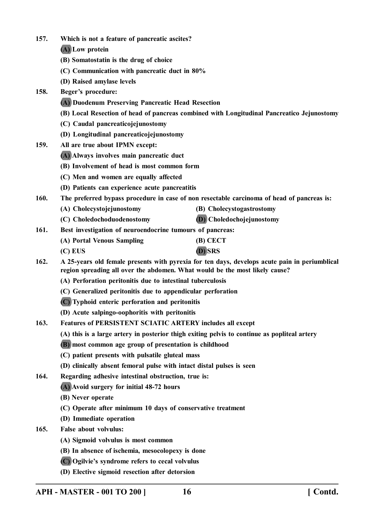- **157. Which is not a feature of pancreatic ascites?**
	- **(A) Low protein**
	- **(B) Somatostatin is the drug of choice**
	- **(C) Communication with pancreatic duct in 80%**
	- **(D) Raised amylase levels**
- **158. Beger's procedure:**
	- **(A) Duodenum Preserving Pancreatic Head Resection**
	- **(B) Local Resection of head of pancreas combined with Longitudinal Pancreatico Jejunostomy**
	- **(C) Caudal pancreaticojejunostomy**
	- **(D) Longitudinal pancreaticojejunostomy**
- **159. All are true about IPMN except:**
	- **(A) Always involves main pancreatic duct**
	- **(B) Involvement of head is most common form**
	- **(C) Men and women are equally affected**
	- **(D) Patients can experience acute pancreatitis**
- **160. The preferred bypass procedure in case of non resectable carcinoma of head of pancreas is:**
	- **(A) Cholecystojejunostomy (B) Cholecystogastrostomy**
	- **(C) Choledochoduodenostomy (D) Choledochojejunostomy**
- **161. Best investigation of neuroendocrine tumours of pancreas:**
	- **(A) Portal Venous Sampling (B) CECT**
	- **(C) EUS (D) SRS**
- **162. A 25-years old female presents with pyrexia for ten days, develops acute pain in periumblical region spreading all over the abdomen. What would be the most likely cause?**
	- **(A) Perforation peritonitis due to intestinal tuberculosis**
	- **(C) Generalized peritonitis due to appendicular perforation**
	- **(C) Typhoid enteric perforation and peritonitis**
	- **(D) Acute salpingo-oophoritis with peritonitis**
- **163. Features of PERSISTENT SCIATIC ARTERY includes all except**
	- **(A) this is a large artery in posterior thigh exiting pelvis to continue as popliteal artery**
	- **(B) most common age group of presentation is childhood**
	- **(C) patient presents with pulsatile gluteal mass**
	- **(D) clinically absent femoral pulse with intact distal pulses is seen**
- **164. Regarding adhesive intestinal obstruction, true is:**
	- **(A) Avoid surgery for initial 48-72 hours**
	- **(B) Never operate**
	- **(C) Operate after minimum 10 days of conservative treatment**
	- **(D) Immediate operation**
- **165. False about volvulus:**
	- **(A) Sigmoid volvulus is most common**
	- **(B) In absence of ischemia, mesocolopexy is done**
	- **(C) Ogilvie's syndrome refers to cecal volvulus**
	- **(D) Elective sigmoid resection after detorsion**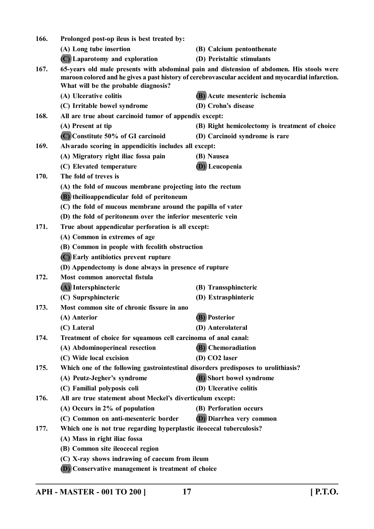| 166.                                                       | Prolonged post-op ileus is best treated by:                                                                                                                                                                                            |                                                |  |
|------------------------------------------------------------|----------------------------------------------------------------------------------------------------------------------------------------------------------------------------------------------------------------------------------------|------------------------------------------------|--|
|                                                            | (A) Long tube insertion                                                                                                                                                                                                                | (B) Calcium pentonthenate                      |  |
|                                                            | (C) Laparotomy and exploration                                                                                                                                                                                                         | (D) Peristaltic stimulants                     |  |
| 167.                                                       | 65-years old male presents with abdominal pain and distension of abdomen. His stools were<br>maroon colored and he gives a past history of cerebrovascular accident and myocardial infarction.<br>What will be the probable diagnosis? |                                                |  |
|                                                            | (A) Ulcerative colitis                                                                                                                                                                                                                 | (B) Acute mesenteric ischemia                  |  |
|                                                            | (C) Irritable bowel syndrome                                                                                                                                                                                                           | (D) Crohn's disease                            |  |
| 168.                                                       | All are true about carcinoid tumor of appendix except:                                                                                                                                                                                 |                                                |  |
|                                                            | (A) Present at tip                                                                                                                                                                                                                     | (B) Right hemicolectomy is treatment of choice |  |
|                                                            | $(C)$ Constitute 50% of GI carcinoid                                                                                                                                                                                                   | (D) Carcinoid syndrome is rare                 |  |
| 169.                                                       | Alvarado scoring in appendicitis includes all except:                                                                                                                                                                                  |                                                |  |
|                                                            | (A) Migratory right iliac fossa pain                                                                                                                                                                                                   | (B) Nausea                                     |  |
|                                                            | (C) Elevated temperature                                                                                                                                                                                                               | <b>D</b> ) Leucopenia                          |  |
| 170.                                                       | The fold of treves is                                                                                                                                                                                                                  |                                                |  |
|                                                            | (A) the fold of mucous membrane projecting into the rectum                                                                                                                                                                             |                                                |  |
|                                                            | (B) theilioappendicular fold of peritoneum                                                                                                                                                                                             |                                                |  |
|                                                            | (C) the fold of mucous membrane around the papilla of vater                                                                                                                                                                            |                                                |  |
|                                                            | (D) the fold of peritoneum over the inferior mesenteric vein                                                                                                                                                                           |                                                |  |
| 171.<br>True about appendicular perforation is all except: |                                                                                                                                                                                                                                        |                                                |  |
|                                                            | (A) Common in extremes of age                                                                                                                                                                                                          |                                                |  |
|                                                            | (B) Common in people with fecolith obstruction                                                                                                                                                                                         |                                                |  |
|                                                            | (C) Early antibiotics prevent rupture                                                                                                                                                                                                  |                                                |  |
|                                                            | (D) Appendectomy is done always in presence of rupture                                                                                                                                                                                 |                                                |  |
| 172.                                                       | Most common anorectal fistula                                                                                                                                                                                                          |                                                |  |
|                                                            | (A) Intersphincteric                                                                                                                                                                                                                   | (B) Transsphincteric                           |  |
|                                                            | (C) Suprsphincteric                                                                                                                                                                                                                    | (D) Extrasphinteric                            |  |
| 173.                                                       | Most common site of chronic fissure in ano                                                                                                                                                                                             |                                                |  |
|                                                            | (A) Anterior                                                                                                                                                                                                                           | (B) Posterior                                  |  |
|                                                            | (C) Lateral                                                                                                                                                                                                                            | (D) Anterolateral                              |  |
| 174.                                                       | Treatment of choice for squamous cell carcinoma of anal canal:                                                                                                                                                                         |                                                |  |
|                                                            | (A) Abdominoperineal resection                                                                                                                                                                                                         | (B) Chemoradiation                             |  |
|                                                            | (C) Wide local excision                                                                                                                                                                                                                | (D) CO2 laser                                  |  |
| 175.                                                       | Which one of the following gastrointestinal disorders predisposes to urolithiasis?                                                                                                                                                     |                                                |  |
|                                                            | (A) Peutz-Jegher's syndrome                                                                                                                                                                                                            | (B) Short bowel syndrome                       |  |
|                                                            | (C) Familial polyposis coli                                                                                                                                                                                                            | (D) Ulcerative colitis                         |  |
| 176.                                                       | All are true statement about Meckel's diverticulum except:                                                                                                                                                                             |                                                |  |
|                                                            | (A) Occurs in $2\%$ of population                                                                                                                                                                                                      | (B) Perforation occurs                         |  |
|                                                            | (C) Common on anti-mesenteric border                                                                                                                                                                                                   | (D) Diarrhea very common                       |  |
| 177.                                                       | Which one is not true regarding hyperplastic ileocecal tuberculosis?                                                                                                                                                                   |                                                |  |
|                                                            | (A) Mass in right iliac fossa                                                                                                                                                                                                          |                                                |  |
|                                                            | (B) Common site ileocecal region                                                                                                                                                                                                       |                                                |  |
|                                                            | (C) X-ray shows indrawing of caecum from ileum                                                                                                                                                                                         |                                                |  |
|                                                            | (D) Conservative management is treatment of choice                                                                                                                                                                                     |                                                |  |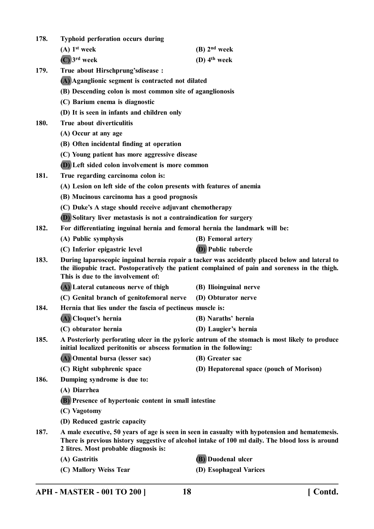| Typhoid perforation occurs during |  |  |  |  |  | 178. |
|-----------------------------------|--|--|--|--|--|------|
|-----------------------------------|--|--|--|--|--|------|

**(A) 1st week (B) 2nd week**

**(C) 3rd week (D) 4th week**

**179. True about Hirschprung'sdisease :**

**(A) Aganglionic segment is contracted not dilated**

- **(B) Descending colon is most common site of aganglionosis**
- **(C) Barium enema is diagnostic**
- **(D) It is seen in infants and children only**
- **180. True about diverticulitis**
	- **(A) Occur at any age**
	- **(B) Often incidental finding at operation**
	- **(C) Young patient has more aggressive disease**
	- **(D) Left sided colon involvement is more common**
- **181. True regarding carcinoma colon is:**
	- **(A) Lesion on left side of the colon presents with features of anemia**
	- **(B) Mucinous carcinoma has a good prognosis**
	- **(C) Duke's A stage should receive adjuvant chemotherapy**
	- **(D) Solitary liver metastasis is not a contraindication for surgery**

**182. For differentiating inguinal hernia and femoral hernia the landmark will be:**

- **(A) Public symphysis (B) Femoral artery**
- **(C) Inferior epigastric level (D) Public tubercle**
- **183. During laparoscopic inguinal hernia repair a tacker was accidently placed below and lateral to the iliopubic tract. Postoperatively the patient complained of pain and soreness in the thigh. This is due to the involvement of:**
	- **(A) Lateral cutaneous nerve of thigh (B) Ilioinguinal nerve**
	- **(C) Genital branch of genitofemoral nerve (D) Obturator nerve**
- **184. Hernia that lies under the fascia of pectineus muscle is:**
	- **(A) Cloquet's hernia (B) Naraths' hernia**
		- **(C) obturator hernia (D) Laugier's hernia**
- **185. A Posteriorly perforating ulcer in the pyloric antrum of the stomach is most likely to produce initial localized peritonitis or abscess formation in the following:**
	- **(A) Omental bursa (lesser sac) (B) Greater sac**
	- **(C) Right subphrenic space (D) Hepatorenal space (pouch of Morison)**
- **186. Dumping syndrome is due to:**
	- **(A) Diarrhea**
	- **(B) Presence of hypertonic content in small intestine**
	- **(C) Vagotomy**
	- **(D) Reduced gastric capacity**
- **187. A male executive, 50 years of age is seen in seen in casualty with hypotension and hematemesis. There is previous history suggestive of alcohol intake of 100 ml daily. The blood loss is around 2 litres. Most probable diagnosis is:**
	-
	- **(A) Gastritis (B) Duodenal ulcer**
	- **(C) Mallory Weiss Tear (D) Esophageal Varices**